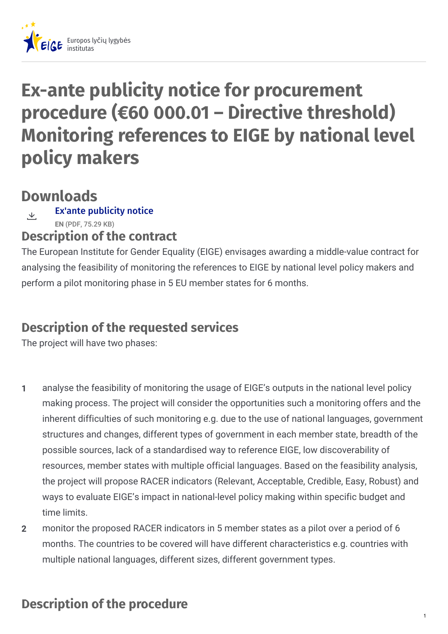

# **Ex-ante publicity notice for procurement procedure (€60 000.01 – Directive threshold) Monitoring references to EIGE by national level policy makers**

## **Downloads**

- Ex'ante [publicity](https://eige.europa.eu/sites/default/files/documents/eige2021oper08_ex-ante_publicity_notice.pdf) notice  $\mathcal{A}$ .
	- **EN** (PDF, 75.29 KB)

#### **Description of the contract**

The European Institute for Gender Equality (EIGE) envisages awarding a middle-value contract for analysing the feasibility of monitoring the references to EIGE by national level policy makers and perform a pilot monitoring phase in 5 EU member states for 6 months.

### **Description of the requested services**

The project will have two phases:

- analyse the feasibility of monitoring the usage of EIGE's outputs in the national level policy making process. The project will consider the opportunities such a monitoring offers and the inherent difficulties of such monitoring e.g. due to the use of national languages, government structures and changes, different types of government in each member state, breadth of the possible sources, lack of a standardised way to reference EIGE, low discoverability of resources, member states with multiple official languages. Based on the feasibility analysis, the project will propose RACER indicators (Relevant, Acceptable, Credible, Easy, Robust) and ways to evaluate EIGE's impact in national-level policy making within specific budget and time limits. **1**
- monitor the proposed RACER indicators in 5 member states as a pilot over a period of 6 months. The countries to be covered will have different characteristics e.g. countries with multiple national languages, different sizes, different government types. **2**

### **Description of the procedure**